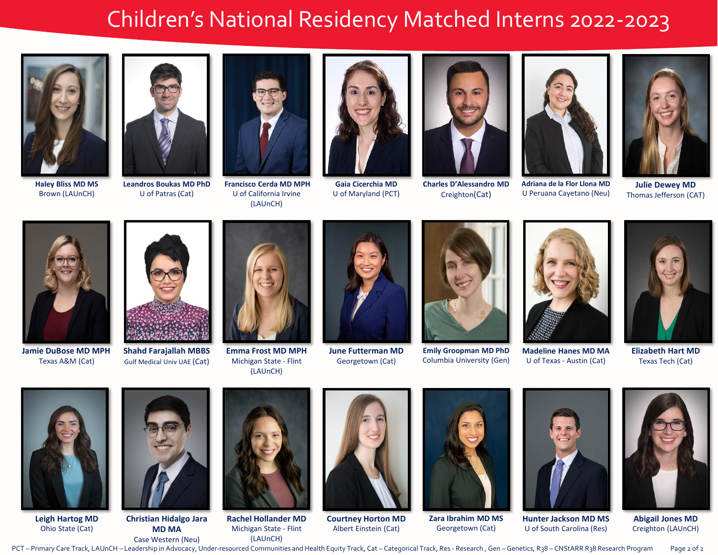## Children's National Residency Matched Interns 2022-2023



**Haley Bliss MD MS** Brown (LAUnCH)



**Leandros Boukas MD PhD** U of Patras (Cat)



**Francisco Cerda MD MPH** U of California Irvine (LAUnCH)



**Gaia Cicerchia MD** U of Maryland (PCT)



**Charles D'Alessandro MD**  Creighton(Cat)



U Peruana Cayetano (Neu)



**Julie Dewey MD** Thomas Jefferson (CAT)



**Jamie DuBose MD MPH** Texas A&M (Cat)



**Shahd Farajallah MBBS** Gulf Medical Univ UAE (Cat)



**Emma Frost MD MPH** Michigan State - Flint (LAUnCH)



**June Futterman MD** Georgetown (Cat)



**Emily Groopman MD PhD** Columbia University (Gen)



U of Texas - Austin (Cat)



**Elizabeth Hart MD** Texas Tech (Cat)



**Leigh Hartog MD** Ohio State (Cat)



**Christian Hidalgo Jara MD MA**



**Rachel Hollander MD** Michigan State - Flint (LAUnCH)



**Courtney Horton MD** Albert Einstein (Cat)



**Zara Ibrahim MD MS**  Georgetown (Cat)



U of South Carolina (Res)



**Abigail Jones MD**  Creighton (LAUnCH)

Case Western (Neu) PCT – Primary Care Track, LAUnCH – Leadership in Advocacy, Under-resourced Communities and Health Equity Track, Cat – Categorical Track, Res - Research , Gen – Genetics, R38 – CNStARR R38 Research Program Page 2 of 2